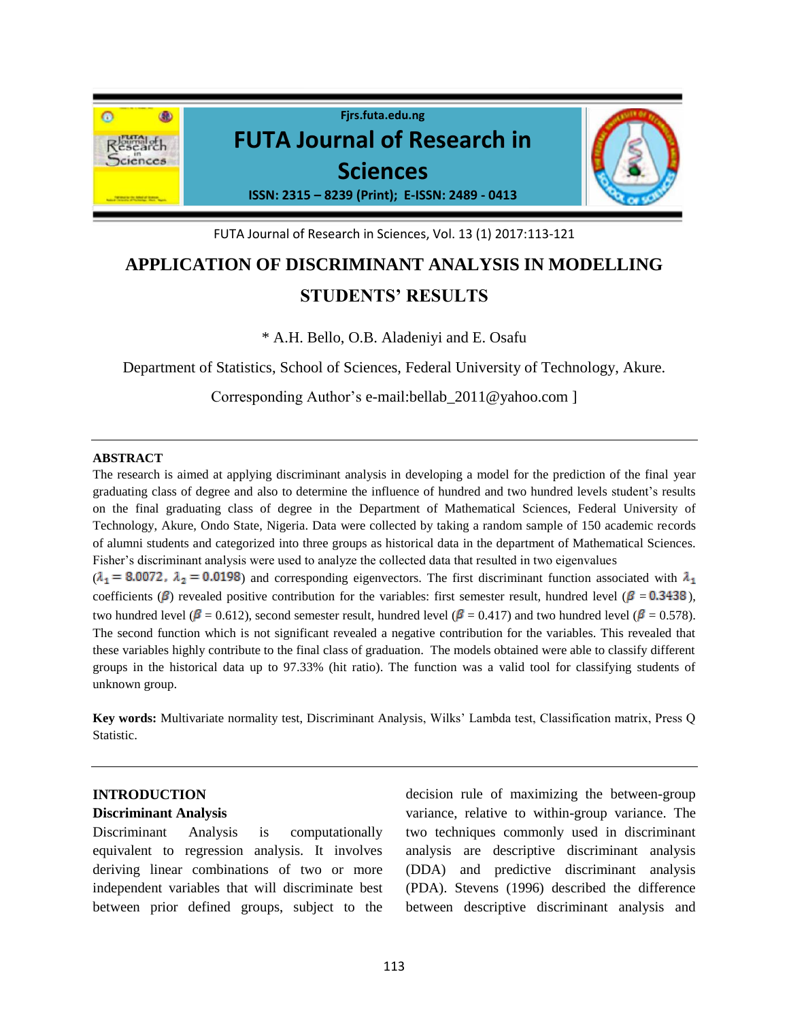

FUTA Journal of Research in Sciences, Vol. 13 (1) 2017:113-121

# **APPLICATION OF DISCRIMINANT ANALYSIS IN MODELLING STUDENTS' RESULTS**

\* A.H. Bello, O.B. Aladeniyi and E. Osafu

Department of Statistics, School of Sciences, Federal University of Technology, Akure.

Corresponding Author's e-mail:bellab\_2011@yahoo.com ]

### **ABSTRACT**

The research is aimed at applying discriminant analysis in developing a model for the prediction of the final year graduating class of degree and also to determine the influence of hundred and two hundred levels student's results on the final graduating class of degree in the Department of Mathematical Sciences, Federal University of Technology, Akure, Ondo State, Nigeria. Data were collected by taking a random sample of 150 academic records of alumni students and categorized into three groups as historical data in the department of Mathematical Sciences. Fisher's discriminant analysis were used to analyze the collected data that resulted in two eigenvalues

 $(\lambda_1 = 8.0072, \lambda_2 = 0.0198)$  and corresponding eigenvectors. The first discriminant function associated with  $\lambda_1$ coefficients ( $\beta$ ) revealed positive contribution for the variables: first semester result, hundred level ( $\beta = 0.3438$ ), two hundred level ( $\beta = 0.612$ ), second semester result, hundred level ( $\beta = 0.417$ ) and two hundred level ( $\beta = 0.578$ ). The second function which is not significant revealed a negative contribution for the variables. This revealed that these variables highly contribute to the final class of graduation. The models obtained were able to classify different groups in the historical data up to 97.33% (hit ratio). The function was a valid tool for classifying students of unknown group.

**Key words:** Multivariate normality test, Discriminant Analysis, Wilks' Lambda test, Classification matrix, Press Q Statistic.

# **INTRODUCTION**

## **Discriminant Analysis**

Discriminant Analysis is computationally equivalent to regression analysis. It involves deriving linear combinations of two or more independent variables that will discriminate best between prior defined groups, subject to the

decision rule of maximizing the between-group variance, relative to within-group variance. The two techniques commonly used in discriminant analysis are descriptive discriminant analysis (DDA) and predictive discriminant analysis (PDA). Stevens (1996) described the difference between descriptive discriminant analysis and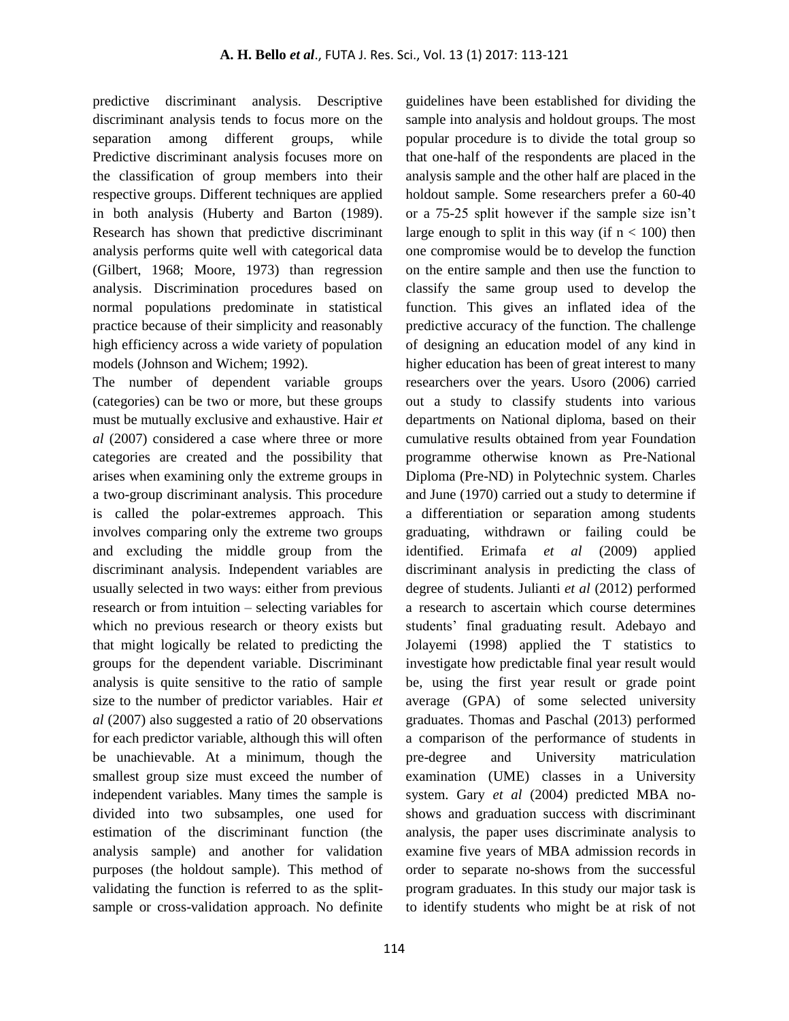predictive discriminant analysis. Descriptive discriminant analysis tends to focus more on the separation among different groups, while Predictive discriminant analysis focuses more on the classification of group members into their respective groups. Different techniques are applied in both analysis (Huberty and Barton (1989). Research has shown that predictive discriminant analysis performs quite well with categorical data (Gilbert, 1968; Moore, 1973) than regression analysis. Discrimination procedures based on normal populations predominate in statistical practice because of their simplicity and reasonably high efficiency across a wide variety of population models (Johnson and Wichem; 1992).

The number of dependent variable groups (categories) can be two or more, but these groups must be mutually exclusive and exhaustive. Hair *et al* (2007) considered a case where three or more categories are created and the possibility that arises when examining only the extreme groups in a two-group discriminant analysis. This procedure is called the polar-extremes approach. This involves comparing only the extreme two groups and excluding the middle group from the discriminant analysis. Independent variables are usually selected in two ways: either from previous research or from intuition – selecting variables for which no previous research or theory exists but that might logically be related to predicting the groups for the dependent variable. Discriminant analysis is quite sensitive to the ratio of sample size to the number of predictor variables. Hair *et al* (2007) also suggested a ratio of 20 observations for each predictor variable, although this will often be unachievable. At a minimum, though the smallest group size must exceed the number of independent variables. Many times the sample is divided into two subsamples, one used for estimation of the discriminant function (the analysis sample) and another for validation purposes (the holdout sample). This method of validating the function is referred to as the splitsample or cross-validation approach. No definite

sample into analysis and holdout groups. The most popular procedure is to divide the total group so that one-half of the respondents are placed in the analysis sample and the other half are placed in the holdout sample. Some researchers prefer a 60-40 or a 75-25 split however if the sample size isn't large enough to split in this way (if  $n < 100$ ) then one compromise would be to develop the function on the entire sample and then use the function to classify the same group used to develop the function. This gives an inflated idea of the predictive accuracy of the function. The challenge of designing an education model of any kind in higher education has been of great interest to many researchers over the years. Usoro (2006) carried out a study to classify students into various departments on National diploma, based on their cumulative results obtained from year Foundation programme otherwise known as Pre-National Diploma (Pre-ND) in Polytechnic system. Charles and June (1970) carried out a study to determine if a differentiation or separation among students graduating, withdrawn or failing could be identified. Erimafa *et al* (2009) applied discriminant analysis in predicting the class of degree of students. Julianti *et al* (2012) performed a research to ascertain which course determines students' final graduating result. Adebayo and Jolayemi (1998) applied the T statistics to investigate how predictable final year result would be, using the first year result or grade point average (GPA) of some selected university graduates. Thomas and Paschal (2013) performed a comparison of the performance of students in pre-degree and University matriculation examination (UME) classes in a University system. Gary *et al* (2004) predicted MBA noshows and graduation success with discriminant analysis, the paper uses discriminate analysis to examine five years of MBA admission records in order to separate no-shows from the successful program graduates. In this study our major task is to identify students who might be at risk of not

guidelines have been established for dividing the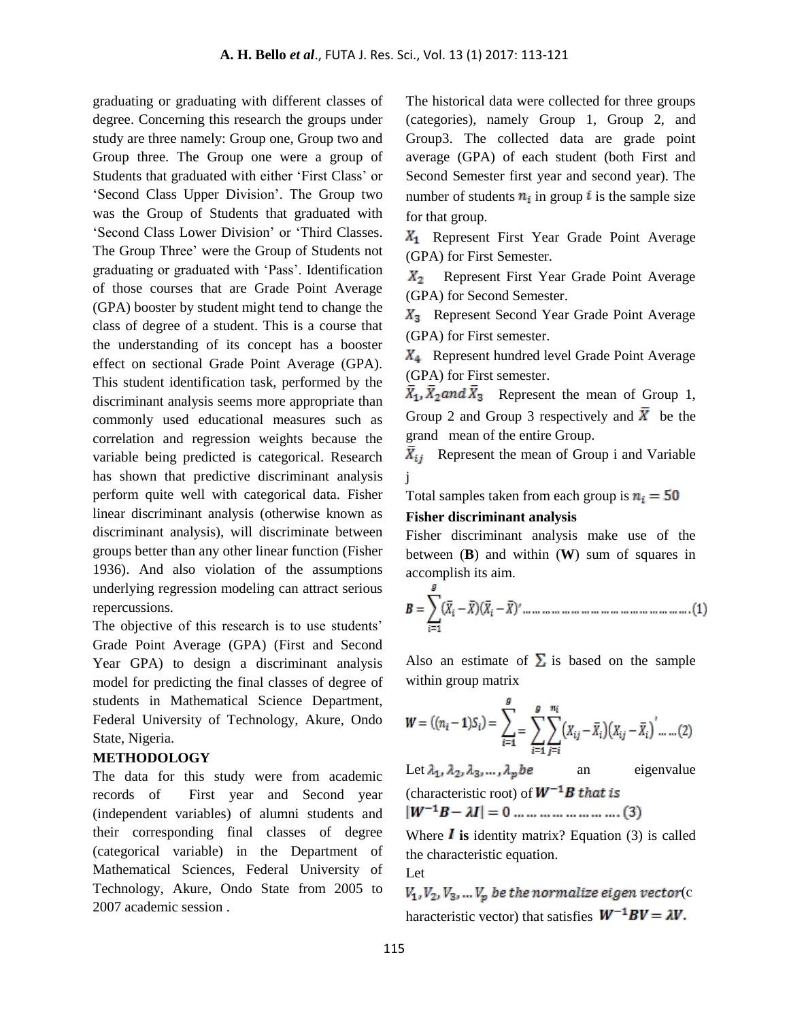graduating or graduating with different classes of degree. Concerning this research the groups under study are three namely: Group one, Group two and Group three. The Group one were a group of Students that graduated with either 'First Class' or 'Second Class Upper Division'. The Group two was the Group of Students that graduated with 'Second Class Lower Division' or 'Third Classes. The Group Three' were the Group of Students not graduating or graduated with 'Pass'. Identification of those courses that are Grade Point Average (GPA) booster by student might tend to change the class of degree of a student. This is a course that the understanding of its concept has a booster effect on sectional Grade Point Average (GPA). This student identification task, performed by the discriminant analysis seems more appropriate than commonly used educational measures such as correlation and regression weights because the variable being predicted is categorical. Research has shown that predictive discriminant analysis perform quite well with categorical data. Fisher linear discriminant analysis (otherwise known as discriminant analysis), will discriminate between groups better than any other linear function (Fisher 1936). And also violation of the assumptions underlying regression modeling can attract serious repercussions.

The objective of this research is to use students' Grade Point Average (GPA) (First and Second Year GPA) to design a discriminant analysis model for predicting the final classes of degree of students in Mathematical Science Department, Federal University of Technology, Akure, Ondo State, Nigeria.

## **METHODOLOGY**

The data for this study were from academic records of First year and Second year (independent variables) of alumni students and their corresponding final classes of degree (categorical variable) in the Department of Mathematical Sciences, Federal University of Technology, Akure, Ondo State from 2005 to 2007 academic session .

The historical data were collected for three groups (categories), namely Group 1, Group 2, and Group3. The collected data are grade point average (GPA) of each student (both First and Second Semester first year and second year). The number of students  $n_i$  in group i is the sample size for that group.

 $X_1$  Represent First Year Grade Point Average (GPA) for First Semester.

 $X_2$  Represent First Year Grade Point Average (GPA) for Second Semester.

 $X_3$  Represent Second Year Grade Point Average (GPA) for First semester.

 $X_4$  Represent hundred level Grade Point Average (GPA) for First semester.

 $\overline{X}_1$ ,  $\overline{X}_2$  and  $\overline{X}_3$  Represent the mean of Group 1, Group 2 and Group 3 respectively and  $\bar{X}$  be the grand mean of the entire Group.

 $\overline{X}_{ij}$  Represent the mean of Group i and Variable j

Total samples taken from each group is  $n_i = 50$ 

# **Fisher discriminant analysis**

Fisher discriminant analysis make use of the between (**B**) and within (**W**) sum of squares in accomplish its aim.

Also an estimate of  $\Sigma$  is based on the sample within group matrix

$$
W = ((n_i - 1)S_i) = \sum_{i=1}^{g} \sum_{j=1}^{n_i} \sum_{j=i}^{n_i} (X_{ij} - \bar{X}_i) (X_{ij} - \bar{X}_i) \dots (2)
$$

Let  $\lambda_1$ ,  $\lambda_2$ ,  $\lambda_3$ , ...,  $\lambda_p$  be an eigenvalue (characteristic root) of  $W^{-1}B$  that is  $|W^{-1}B - \lambda I| = 0$  ... ... ... ... ... ... ... (3)

Where  $\bf{l}$  is identity matrix? Equation (3) is called the characteristic equation.

Let

 $V_1, V_2, V_3, ... V_p$  be the normalize eigen vector(c haracteristic vector) that satisfies  $W^{-1}BV = \lambda V$ .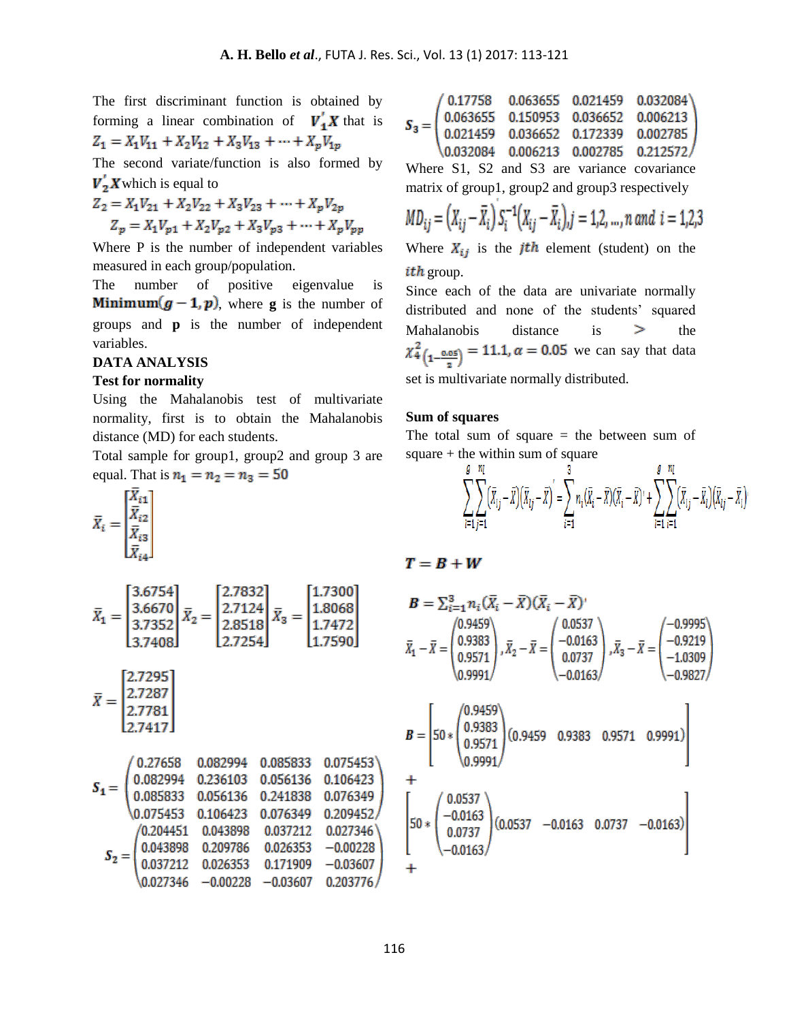The first discriminant function is obtained by forming a linear combination of  $V'_1 X$  that is  $Z_1 = X_1 V_{11} + X_2 V_{12} + X_3 V_{13} + \cdots + X_p V_{1p}$ 

The second variate/function is also formed by  $V_2$ X which is equal to

$$
Z_2 = X_1 V_{21} + X_2 V_{22} + X_3 V_{23} + \dots + X_p V_{2p}
$$
  

$$
Z_p = X_1 V_{p1} + X_2 V_{p2} + X_3 V_{p3} + \dots + X_p V_{pp}
$$

Where P is the number of independent variables measured in each group/population.

The number of positive eigenvalue is **Minimum** $(g - 1, p)$ , where **g** is the number of groups and **p** is the number of independent variables.

#### **DATA ANALYSIS**

#### **Test for normality**

Using the Mahalanobis test of multivariate normality, first is to obtain the Mahalanobis distance (MD) for each students.

Total sample for group1, group2 and group 3 are equal. That is  $n_1 = n_2 = n_3 = 50$ 

$$
\bar{X}_i = \begin{bmatrix} \bar{X}_{i1} \\ \bar{X}_{i2} \\ \bar{X}_{i3} \\ \bar{X}_{i4} \end{bmatrix}
$$

$$
\bar{X}_1 = \begin{bmatrix} 3.6754 \\ 3.6670 \\ 3.7352 \\ 3.7408 \end{bmatrix} \bar{X}_2 = \begin{bmatrix} 2.7832 \\ 2.7124 \\ 2.8518 \\ 2.7254 \end{bmatrix} \bar{X}_3 = \begin{bmatrix} 1.7300 \\ 1.8068 \\ 1.7472 \\ 1.7590 \end{bmatrix}
$$

$$
\bar{X} = \begin{bmatrix} 2.7295 \\ 2.7287 \\ 2.7781 \\ 2.7417 \end{bmatrix}
$$

0.27658 0.082994 0.085833 0.075453 0.082994  $\begin{array}{cccc} 0.236103 & 0.056136 & 0.106423 \\ 0.056136 & 0.241838 & 0.076349 \end{array}$  $S_1 =$ 0.085833 0.209452  $\backslash 0.075453$ 0.106423 0.076349 /0.204451 0.043898 0.037212 0.027346 0.209786 0.026353  $-0.00228$ 0.043898  $S_2 =$ 0.037212 0.026353 0.171909  $-0.03607$  $-0.00228$   $-0.03607$ 0.027346 0.203776

$$
\boldsymbol{S}_3 = \begin{pmatrix} 0.17758 & 0.063655 & 0.021459 & 0.032084 \\ 0.063655 & 0.150953 & 0.036652 & 0.006213 \\ 0.021459 & 0.036652 & 0.172339 & 0.002785 \\ 0.032084 & 0.006213 & 0.002785 & 0.212572 \end{pmatrix}
$$

Where S1, S2 and S3 are variance covariance matrix of group1, group2 and group3 respectively

$$
MD_{ij} = (X_{ij} - \bar{X}_i) S_i^{-1} (X_{ij} - \bar{X}_i), j = 1, 2, ..., n \text{ and } i = 1, 2, 3
$$

Where  $X_{ij}$  is the *j*th element (student) on the *ith* group.

Since each of the data are univariate normally distributed and none of the students' squared Mahalanobis distance is  $\geq$  the  $\chi^{2}_{4}(\frac{0.05}{2}) = 11.1, \alpha = 0.05$  we can say that data set is multivariate normally distributed.

#### **Sum of squares**

The total sum of square  $=$  the between sum of square  $+$  the within sum of square

$$
\sum_{i=1}^{g} \sum_{j=1}^{n_i} (\bar{X}_{ij} - \bar{X})(\bar{X}_{ij} - \bar{X})^{\prime} = \sum_{i=1}^{3} n_i (\bar{X}_i - \bar{X})(\bar{X}_i - \bar{X})^{\prime} + \sum_{i=1}^{g} \sum_{i=1}^{n_i} (\bar{X}_{ij} - \bar{X}_i)(\bar{X}_{ij} - \bar{X}_i)
$$

$$
T=B+W
$$

$$
\mathbf{B} = \sum_{i=1}^{3} n_i (\bar{X}_i - \bar{X}) (\bar{X}_i - \bar{X})'
$$
  

$$
\bar{X}_1 - \bar{X} = \begin{pmatrix} 0.9459 \\ 0.9383 \\ 0.9571 \\ 0.9991 \end{pmatrix}, \bar{X}_2 - \bar{X} = \begin{pmatrix} 0.0537 \\ -0.0163 \\ 0.0737 \\ -0.0163 \end{pmatrix}, \bar{X}_3 - \bar{X} = \begin{pmatrix} -0.9995 \\ -0.9219 \\ -1.0309 \\ -0.9827 \end{pmatrix}
$$

$$
B = \begin{bmatrix} 50 * \begin{pmatrix} 0.9459 \\ 0.9383 \\ 0.9571 \end{pmatrix} (0.9459 & 0.9383 & 0.9571 & 0.9991) \\ 0.9991 \end{bmatrix} + \begin{bmatrix} 0.0537 \\ -0.0163 \\ 0.0737 \\ -0.0163 \end{bmatrix} (0.0537 -0.0163 & 0.0737 -0.0163) \end{bmatrix}
$$

 $\mathrm{+}$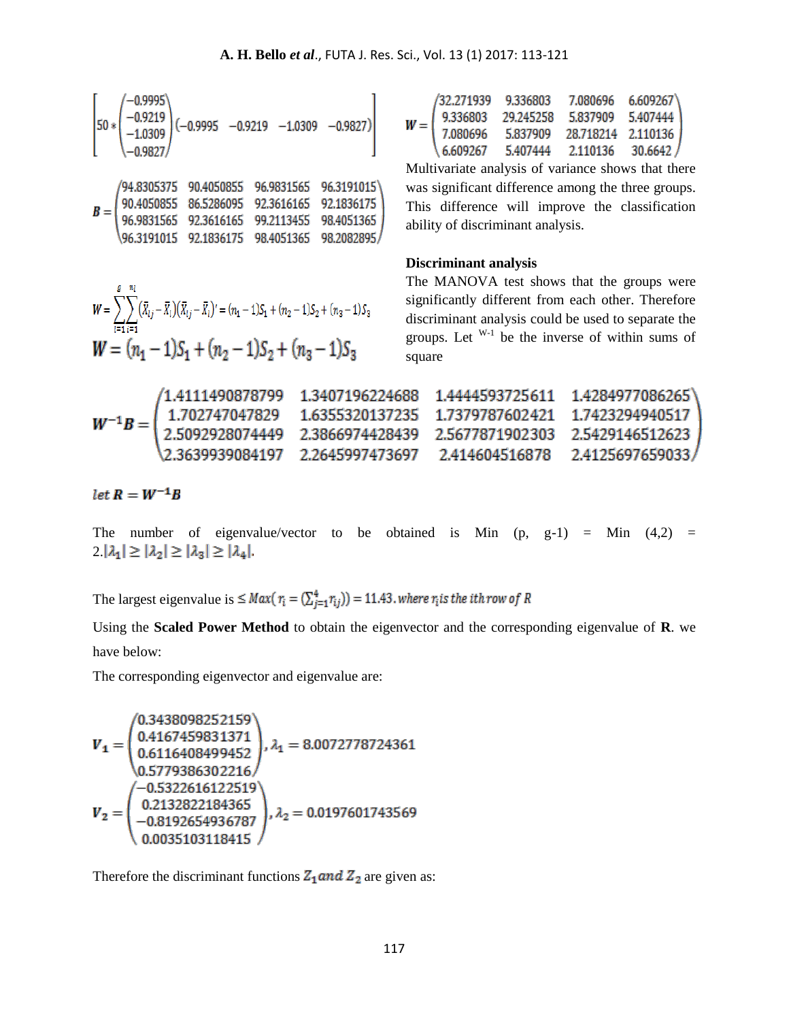|  |  | /94.8305375 90.4050855 96.9831565 96.3191015\                                                                                              |
|--|--|--------------------------------------------------------------------------------------------------------------------------------------------|
|  |  |                                                                                                                                            |
|  |  | $B = \begin{pmatrix} 90.4050855 & 86.5286095 & 92.3616165 & 92.1836175 \\ 96.9831565 & 92.3616165 & 99.2113455 & 98.4051365 \end{pmatrix}$ |
|  |  | \96.3191015 92.1836175 98.4051365 98.2082895/                                                                                              |

|  | /32.271939 9.336803                                                                                                                           |          | 7.080696 6.609267\ |  |
|--|-----------------------------------------------------------------------------------------------------------------------------------------------|----------|--------------------|--|
|  |                                                                                                                                               |          |                    |  |
|  | $W = \left( \begin{array}{cccc} 9.336803 & 29.245258 & 5.837909 & 5.407444 \\ 7.080696 & 5.837909 & 28.718214 & 2.110136 \end{array} \right)$ |          |                    |  |
|  | 6.609267                                                                                                                                      | 5.407444 | $2.110136$ 30.6642 |  |

Multivariate analysis of variance shows that there was significant difference among the three groups. This difference will improve the classification ability of discriminant analysis.

# **Discriminant analysis**

$$
W = \sum_{i=1}^{g} \sum_{i=1}^{n_i} (\bar{x}_{ij} - \bar{x}_i)(\bar{x}_{ij} - \bar{x}_i) = (n_1 - 1)S_1 + (n_2 - 1)S_2 + (n_3 - 1)S_3
$$
  

$$
W = (n_1 - 1)S_1 + (n_2 - 1)S_2 + (n_3 - 1)S_3
$$

The MANOVA test shows that the groups were significantly different from each other. Therefore discriminant analysis could be used to separate the groups. Let  $W^{-1}$  be the inverse of within sums of square

|  | /1.4111490878799  1.3407196224688  1.4444593725611  1.4284977086265                                                                                                                                     |  |  |
|--|---------------------------------------------------------------------------------------------------------------------------------------------------------------------------------------------------------|--|--|
|  | $W^{-1}B = \left( \begin{array}{ccc} 1.702747047829 & 1.6355320137235 & 1.7379787602421 & 1.7423294940517 \\ 2.5092928074449 & 2.3866974428439 & 2.5677871902303 & 2.5429146512623 \end{array} \right)$ |  |  |
|  |                                                                                                                                                                                                         |  |  |
|  | \2.3639939084197 2.2645997473697 2.414604516878 2.4125697659033/                                                                                                                                        |  |  |

 $let R = W^{-1}B$ 

The number of eigenvalue/vector to be obtained is Min  $(p, g-1)$  = Min  $(4,2)$  =  $2 |\lambda_1| \geq |\lambda_2| \geq |\lambda_3| \geq |\lambda_4|$ .

The largest eigenvalue is  $\leq Max(\eta_i = (\sum_{j=1}^4 r_{ij})) = 11.43$ . where  $\eta_i$  is the *i*th row of R

Using the **Scaled Power Method** to obtain the eigenvector and the corresponding eigenvalue of **R**. we have below:

The corresponding eigenvector and eigenvalue are:

$$
\boldsymbol{V}_{\textbf{1}} = \begin{pmatrix} 0.3438098252159 \\ 0.4167459831371 \\ 0.6116408499452 \\ 0.5779386302216 \end{pmatrix}, \lambda_{\textbf{1}} = 8.0072778724361 \\ \boldsymbol{V}_{\textbf{2}} = \begin{pmatrix} -0.5322616122519 \\ 0.2132822184365 \\ -0.8192654936787 \\ 0.0035103118415 \end{pmatrix}, \lambda_{\textbf{2}} = 0.0197601743569
$$

Therefore the discriminant functions  $Z_1$  and  $Z_2$  are given as: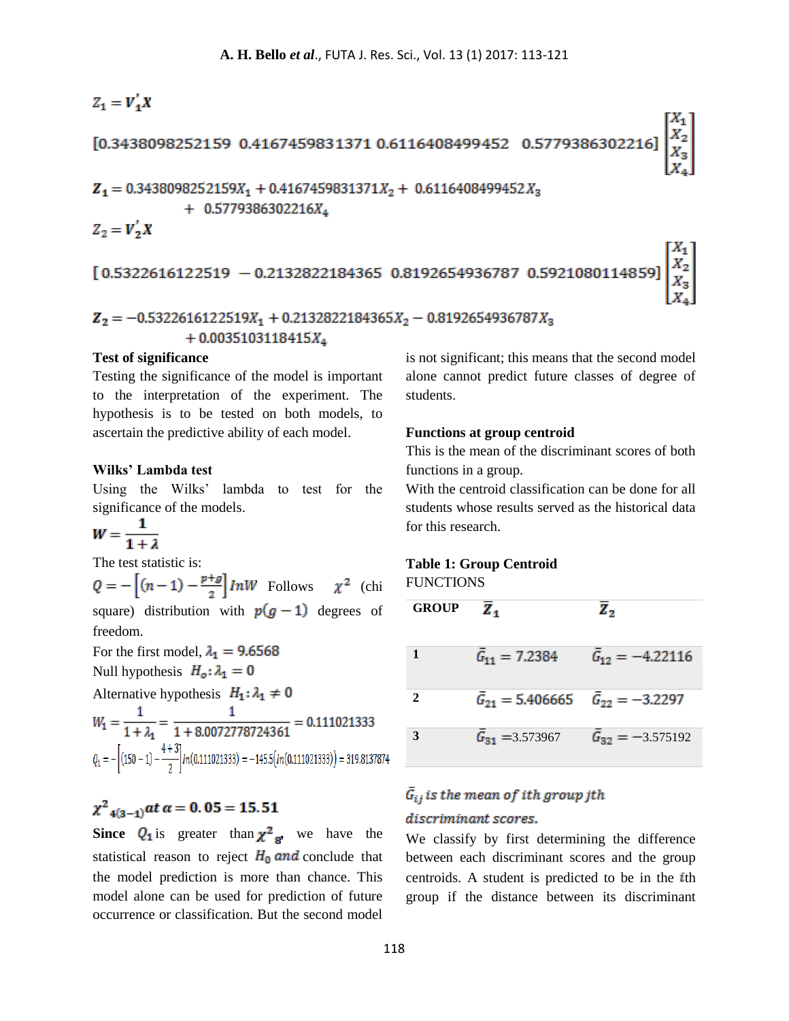# $Z_1 = V_1'X$ [0.3438098252159 0.4167459831371 0.6116408499452 0.5779386302216  $Z_1 = 0.3438098252159X_1 + 0.4167459831371X_2 + 0.6116408499452X_3$  $+ 0.5779386302216X_4$  $Z_2 = V_2'X$  $[0.5322616122519 - 0.2132822184365 0.8192654936787 0.5921080114859]$

# $Z_2 = -0.5322616122519X_1 + 0.2132822184365X_2 - 0.8192654936787X_3$  $+0.0035103118415X_4$

# **Test of significance**

Testing the significance of the model is important to the interpretation of the experiment. The hypothesis is to be tested on both models, to ascertain the predictive ability of each model.

#### **Wilks' Lambda test**

Using the Wilks' lambda to test for the significance of the models.

 $W = \frac{1}{1 + \lambda}$ 

The test statistic is:

 $Q = -\left[ (n-1) - \frac{p+q}{2} \right] lnW$  Follows  $\chi^2$  (chi square) distribution with  $p(g-1)$  degrees of freedom.

For the first model,  $\lambda_1 = 9.6568$ Null hypothesis  $H_o: \lambda_1 = 0$ Alternative hypothesis  $H_1: \lambda_1 \neq 0$ <br>  $W_1 = \frac{1}{1 + \lambda_1} = \frac{1}{1 + 8.0072778724361} = 0.111021333$  $Q_1 = -[(150 - 1) - \frac{4 + 3}{2}]$ *In*(0.111021333) = -145.5(*In*(0.111021333)) = 319.8137874

# $\chi^2_{-4(3-1)}$  at  $\alpha = 0.05 = 15.51$

**Since**  $Q_1$  **is greater than**  $\chi^2$ **<sub>g</sub>**, we have the statistical reason to reject  $H_0$  and conclude that the model prediction is more than chance. This model alone can be used for prediction of future occurrence or classification. But the second model is not significant; this means that the second model alone cannot predict future classes of degree of students.

#### **Functions at group centroid**

This is the mean of the discriminant scores of both functions in a group.

With the centroid classification can be done for all students whose results served as the historical data for this research.

#### **Table 1: Group Centroid**

**FUNCTIONS** 

| <b>GROUP</b> | z.                                                 | z,                         |
|--------------|----------------------------------------------------|----------------------------|
|              | $\bar{G}_{11} = 7.2384$                            | $\bar{G}_{12} = -4.22116$  |
| $\mathbf{2}$ | $\bar{G}_{21} = 5.406665$ $\bar{G}_{22} = -3.2297$ |                            |
| 3            | $\bar{G}_{31} = 3.573967$                          | $\bar{G}_{32} = -3.575192$ |

# $\bar{G}_{ij}$  is the mean of ith group jth

# discriminant scores.

We classify by first determining the difference between each discriminant scores and the group centroids. A student is predicted to be in the  $i$ th group if the distance between its discriminant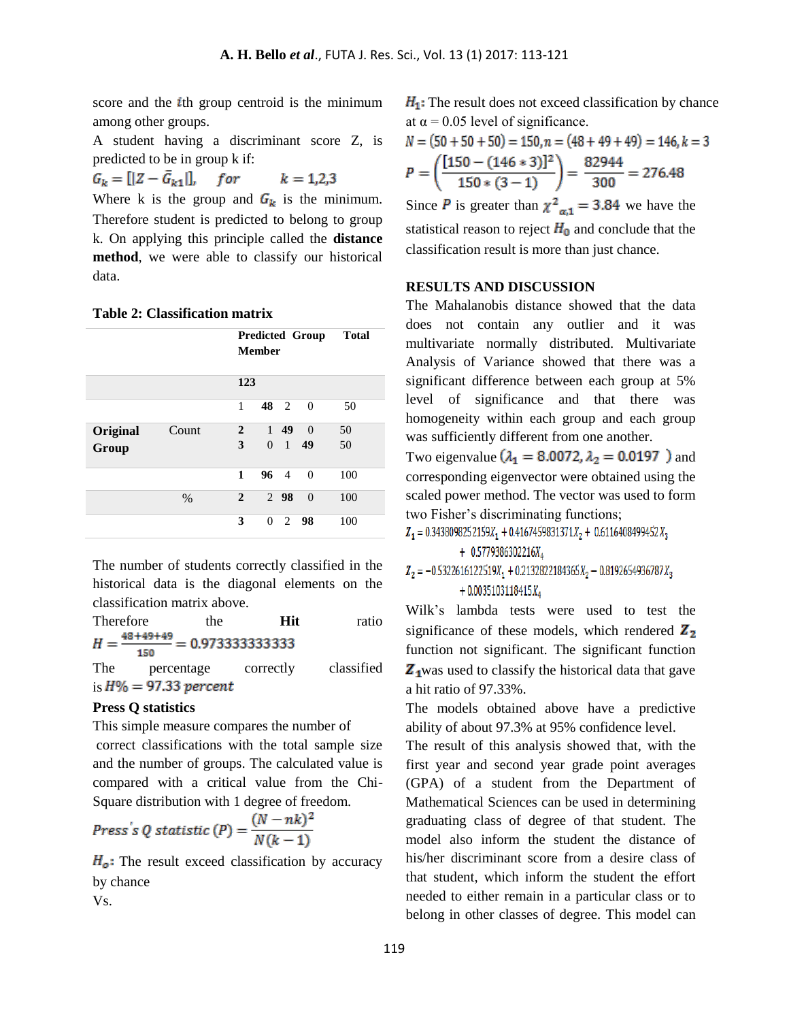score and the  $i$ th group centroid is the minimum among other groups.

A student having a discriminant score Z, is predicted to be in group k if:

$$
G_k = [|Z - \bar{G}_{k1}|],
$$
 for  $k = 1,2,3$ 

Where k is the group and  $G_k$  is the minimum. Therefore student is predicted to belong to group k. On applying this principle called the **distance method**, we were able to classify our historical data.

#### **Table 2: Classification matrix**

|                   |       | <b>Predicted Group</b><br><b>Member</b> |          |                               | <b>Total</b>   |          |  |
|-------------------|-------|-----------------------------------------|----------|-------------------------------|----------------|----------|--|
|                   |       | 123                                     |          |                               |                |          |  |
|                   |       | 1                                       |          | 48 2                          | $\overline{0}$ | 50       |  |
| Original<br>Group | Count | $\overline{2}$<br>3                     | $\Omega$ | $1\quad 49$<br>$\overline{1}$ | $\Omega$<br>49 | 50<br>50 |  |
|                   |       | 1                                       |          | $96 \quad 4 \quad 0$          |                | 100      |  |
|                   | $\%$  | $\mathbf{2}$                            |          | 2 98                          | $\overline{0}$ | 100      |  |
|                   |       | 3                                       |          | $0 \t2 \t98$                  |                | 100      |  |

The number of students correctly classified in the historical data is the diagonal elements on the classification matrix above.

| <b>Therefore</b> | the | Hit | ratio |
|------------------|-----|-----|-------|
| 150              |     |     |       |

The percentage correctly classified is  $H\% = 97.33$  percent

#### **Press Q statistics**

This simple measure compares the number of correct classifications with the total sample size and the number of groups. The calculated value is compared with a critical value from the Chi-Square distribution with 1 degree of freedom.

$$
Press's Q statistic (P) = \frac{(N - nk)^2}{N(k - 1)}
$$

 $H_o$ : The result exceed classification by accuracy by chance

Vs.

 $H_1$ : The result does not exceed classification by chance at  $\alpha$  = 0.05 level of significance.

$$
N = (50 + 50 + 50) = 150, n = (48 + 49 + 49) = 146, k = 3
$$
  

$$
P = \left(\frac{[150 - (146 * 3)]^2}{150 * (3 - 1)}\right) = \frac{82944}{300} = 276.48
$$

Since **P** is greater than  $\chi^2_{\alpha,1} = 3.84$  we have the statistical reason to reject  $H_0$  and conclude that the classification result is more than just chance.

# **RESULTS AND DISCUSSION**

The Mahalanobis distance showed that the data does not contain any outlier and it was multivariate normally distributed. Multivariate Analysis of Variance showed that there was a significant difference between each group at 5% level of significance and that there was homogeneity within each group and each group was sufficiently different from one another.

Two eigenvalue  $(\lambda_1 = 8.0072, \lambda_2 = 0.0197)$  and corresponding eigenvector were obtained using the scaled power method. The vector was used to form two Fisher's discriminating functions;

 $Z_1 = 0.3438098252159X_1 + 0.4167459831371X_2 + 0.6116408499452X_3$  $+ 0.5779386302216X_4$ 

 $Z_2 = -0.5322616122519X_1 + 0.2132822184365X_2 - 0.8192654936787X_3$  $+0.0035103118415X_4$ 

Wilk's lambda tests were used to test the significance of these models, which rendered  $\mathbb{Z}_2$ function not significant. The significant function  $\mathbf{Z}_1$  was used to classify the historical data that gave a hit ratio of 97.33%.

The models obtained above have a predictive ability of about 97.3% at 95% confidence level.

The result of this analysis showed that, with the first year and second year grade point averages (GPA) of a student from the Department of Mathematical Sciences can be used in determining graduating class of degree of that student. The model also inform the student the distance of his/her discriminant score from a desire class of that student, which inform the student the effort needed to either remain in a particular class or to belong in other classes of degree. This model can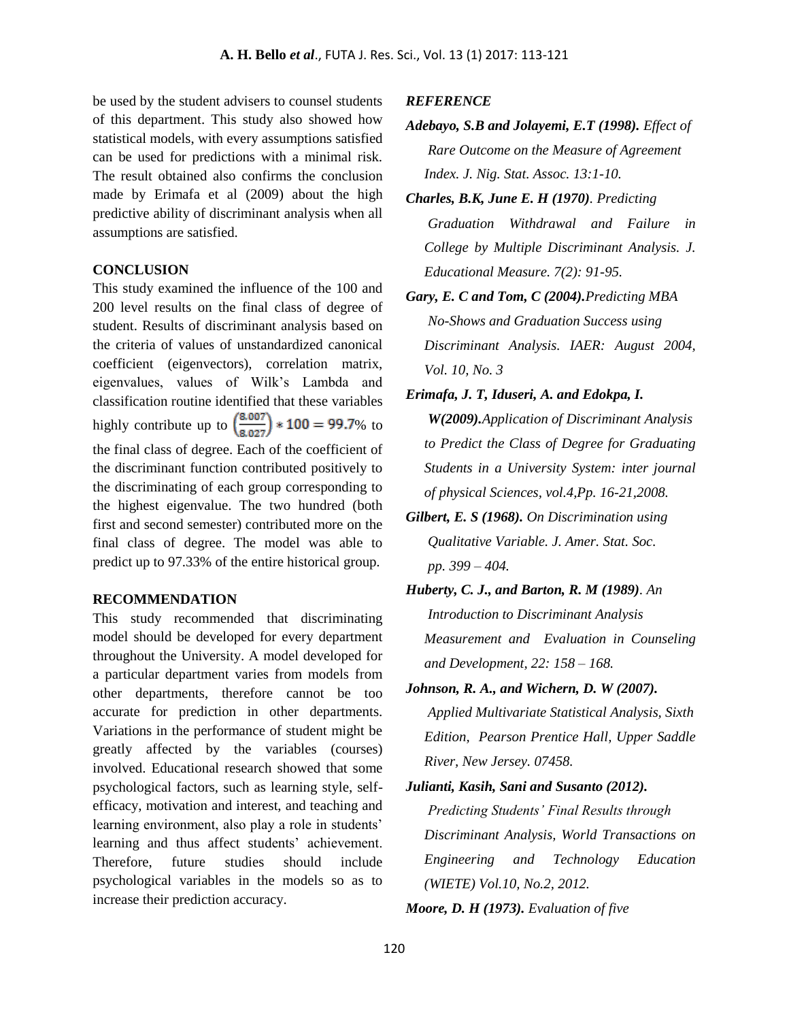be used by the student advisers to counsel students of this department. This study also showed how statistical models, with every assumptions satisfied can be used for predictions with a minimal risk. The result obtained also confirms the conclusion made by Erimafa et al (2009) about the high predictive ability of discriminant analysis when all assumptions are satisfied.

# **CONCLUSION**

This study examined the influence of the 100 and 200 level results on the final class of degree of student. Results of discriminant analysis based on the criteria of values of unstandardized canonical coefficient (eigenvectors), correlation matrix, eigenvalues, values of Wilk's Lambda and classification routine identified that these variables highly contribute up to  $\left(\frac{8.007}{8.027}\right) * 100 = 99.7\%$  to the final class of degree. Each of the coefficient of the discriminant function contributed positively to the discriminating of each group corresponding to the highest eigenvalue. The two hundred (both first and second semester) contributed more on the final class of degree. The model was able to predict up to 97.33% of the entire historical group.

## **RECOMMENDATION**

This study recommended that discriminating model should be developed for every department throughout the University. A model developed for a particular department varies from models from other departments, therefore cannot be too accurate for prediction in other departments. Variations in the performance of student might be greatly affected by the variables (courses) involved. Educational research showed that some psychological factors, such as learning style, selfefficacy, motivation and interest, and teaching and learning environment, also play a role in students' learning and thus affect students' achievement. Therefore, future studies should include psychological variables in the models so as to increase their prediction accuracy.

## *REFERENCE*

- *Adebayo, S.B and Jolayemi, E.T (1998). Effect of Rare Outcome on the Measure of Agreement Index. J. Nig. Stat. Assoc. 13:1-10.*
- *Charles, B.K, June E. H (1970). Predicting Graduation Withdrawal and Failure in College by Multiple Discriminant Analysis. J. Educational Measure. 7(2): 91-95.*
- *Gary, E. C and Tom, C (2004).Predicting MBA No-Shows and Graduation Success using Discriminant Analysis. IAER: August 2004, Vol. 10, No. 3*
- *Erimafa, J. T, Iduseri, A. and Edokpa, I. W(2009).Application of Discriminant Analysis to Predict the Class of Degree for Graduating Students in a University System: inter journal of physical Sciences, vol.4,Pp. 16-21,2008.*
- *Gilbert, E. S (1968). On Discrimination using Qualitative Variable. J. Amer. Stat. Soc. pp. 399 – 404.*
- *Huberty, C. J., and Barton, R. M (1989). An Introduction to Discriminant Analysis Measurement and Evaluation in Counseling and Development, 22: 158 – 168.*
- *Johnson, R. A., and Wichern, D. W (2007). Applied Multivariate Statistical Analysis, Sixth Edition, Pearson Prentice Hall, Upper Saddle River, New Jersey. 07458.*
- *Julianti, Kasih, Sani and Susanto (2012). Predicting Students' Final Results through Discriminant Analysis, World Transactions on Engineering and Technology Education (WIETE) Vol.10, No.2, 2012.*
- *Moore, D. H (1973). Evaluation of five*